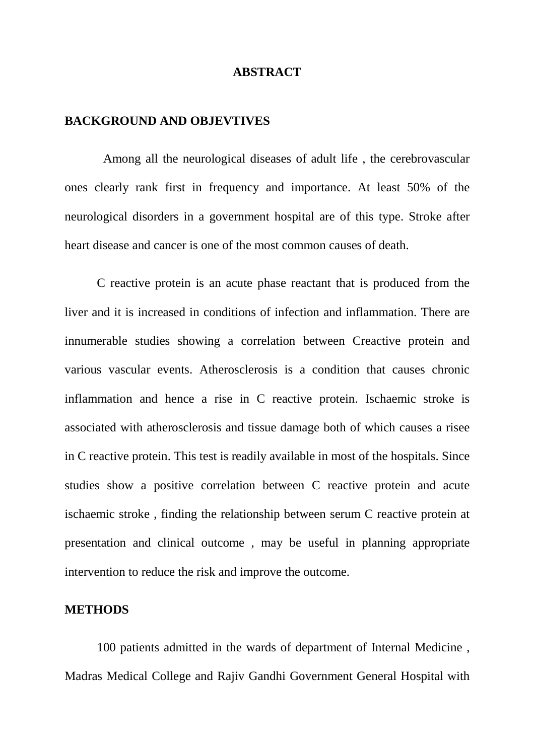#### **ABSTRACT**

#### **BACKGROUND AND OBJEVTIVES**

 Among all the neurological diseases of adult life , the cerebrovascular ones clearly rank first in frequency and importance. At least 50% of the neurological disorders in a government hospital are of this type. Stroke after heart disease and cancer is one of the most common causes of death.

C reactive protein is an acute phase reactant that is produced from the liver and it is increased in conditions of infection and inflammation. There are innumerable studies showing a correlation between Creactive protein and various vascular events. Atherosclerosis is a condition that causes chronic inflammation and hence a rise in C reactive protein. Ischaemic stroke is associated with atherosclerosis and tissue damage both of which causes a risee in C reactive protein. This test is readily available in most of the hospitals. Since studies show a positive correlation between C reactive protein and acute ischaemic stroke , finding the relationship between serum C reactive protein at presentation and clinical outcome , may be useful in planning appropriate intervention to reduce the risk and improve the outcome.

## **METHODS**

100 patients admitted in the wards of department of Internal Medicine , Madras Medical College and Rajiv Gandhi Government General Hospital with